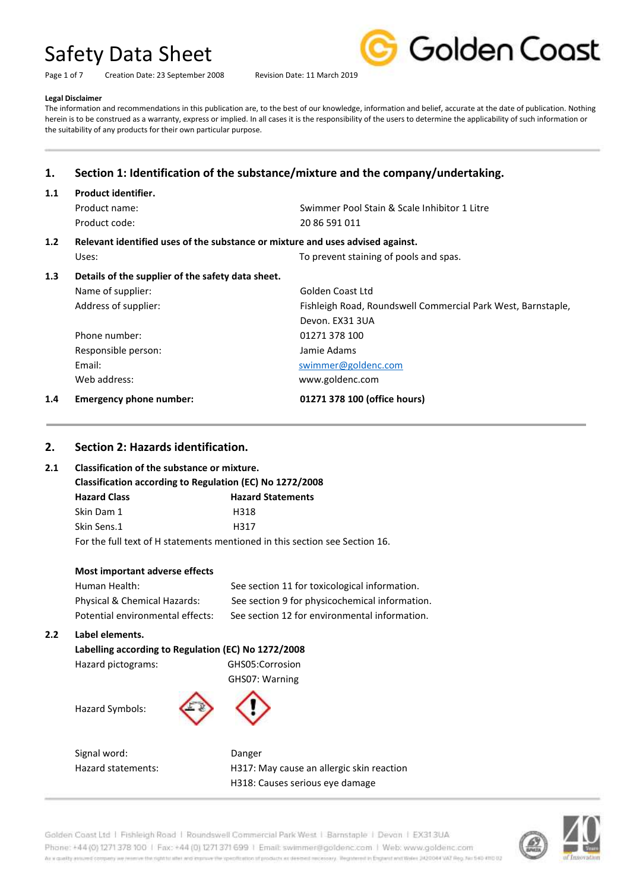Page 1 of 7 Creation Date: 23 September 2008 Revision Date: 11 March 2019



#### **Legal Disclaimer**

The information and recommendations in this publication are, to the best of our knowledge, information and belief, accurate at the date of publication. Nothing herein is to be construed as a warranty, express or implied. In all cases it is the responsibility of the users to determine the applicability of such information or the suitability of any products for their own particular purpose.

## **1. Section 1: Identification of the substance/mixture and the company/undertaking.**

### **1.1 Product identifier.**

| Product name: | Swimmer Pool Stain & Scale Inhibitor 1 Litre |  |
|---------------|----------------------------------------------|--|
| Product code: | 20 86 591 011                                |  |

## **1.2 Relevant identified uses of the substance or mixture and uses advised against.**

Uses: Uses: To prevent staining of pools and spas. **1.3 Details of the supplier of the safety data sheet.** Name of supplier: Golden Coast Ltd Address of supplier: Fishleigh Road, Roundswell Commercial Park West, Barnstaple, Devon. EX31 3UA Phone number: 01271 378 100 Responsible person: Jamie Adams Email: Email: Email: Swimmer@goldenc.com Web address: www.goldenc.com **1.4 Emergency phone number: 01271 378 100 (office hours)**

## **2. Section 2: Hazards identification.**

### **2.1 Classification of the substance or mixture.**

| Classification according to Regulation (EC) No 1272/2008                    |                     |                          |
|-----------------------------------------------------------------------------|---------------------|--------------------------|
|                                                                             | <b>Hazard Class</b> | <b>Hazard Statements</b> |
|                                                                             | Skin Dam 1          | H318                     |
|                                                                             | Skin Sens.1         | H317                     |
| For the full text of H statements mentioned in this section see Section 16. |                     |                          |

| Most important adverse effects   |                                                |
|----------------------------------|------------------------------------------------|
| Human Health:                    | See section 11 for toxicological information.  |
| Physical & Chemical Hazards:     | See section 9 for physicochemical information. |
| Potential environmental effects: | See section 12 for environmental information.  |
|                                  |                                                |

### **2.2 Label elements.**

### **Labelling according to Regulation (EC) No 1272/2008** Hazard pictograms: GHS05:Corrosion GHS07: Warning

Hazard Symbols:



Signal word: Danger

Hazard statements: H317: May cause an allergic skin reaction H318: Causes serious eye damage

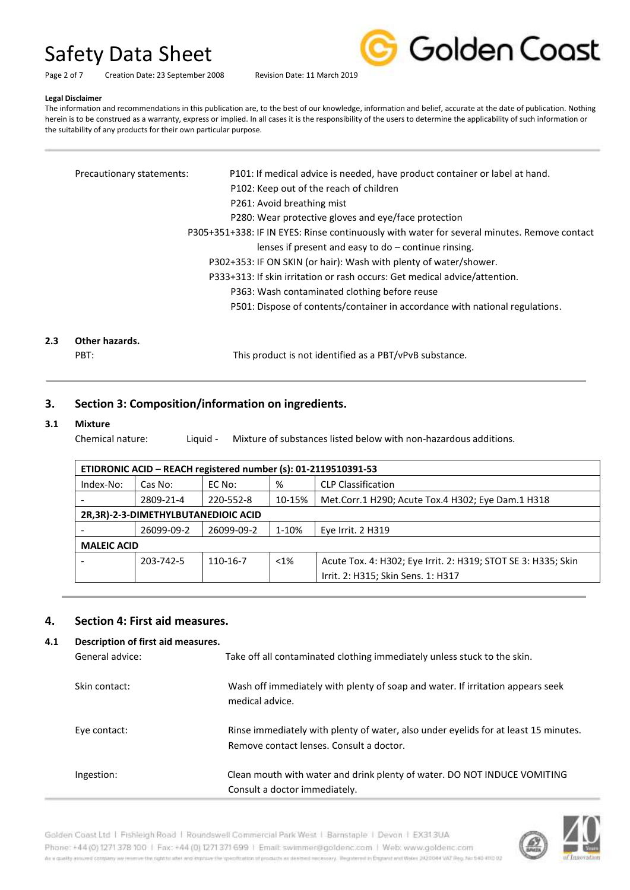Golden Coast

Page 2 of 7 Creation Date: 23 September 2008 Revision Date: 11 March 2019

#### **Legal Disclaimer**

The information and recommendations in this publication are, to the best of our knowledge, information and belief, accurate at the date of publication. Nothing herein is to be construed as a warranty, express or implied. In all cases it is the responsibility of the users to determine the applicability of such information or the suitability of any products for their own particular purpose.

| Precautionary statements: | P101: If medical advice is needed, have product container or label at hand.                 |
|---------------------------|---------------------------------------------------------------------------------------------|
|                           | P102: Keep out of the reach of children                                                     |
|                           | P261: Avoid breathing mist                                                                  |
|                           | P280: Wear protective gloves and eye/face protection                                        |
|                           | P305+351+338: IF IN EYES: Rinse continuously with water for several minutes. Remove contact |
|                           | lenses if present and easy to $do$ – continue rinsing.                                      |
|                           | P302+353: IF ON SKIN (or hair): Wash with plenty of water/shower.                           |
|                           | P333+313: If skin irritation or rash occurs: Get medical advice/attention.                  |
|                           | P363: Wash contaminated clothing before reuse                                               |
|                           | P501: Dispose of contents/container in accordance with national regulations.                |
|                           |                                                                                             |
| Other hazards.            |                                                                                             |

## **2.3 Other hazards.**

PBT: This product is not identified as a PBT/vPvB substance.

### **3. Section 3: Composition/information on ingredients.**

### **3.1 Mixture**

Chemical nature: Liquid - Mixture of substances listed below with non-hazardous additions.

| ETIDRONIC ACID - REACH registered number (s): 01-2119510391-53                                    |                                                                                       |            |       |                                    |  |
|---------------------------------------------------------------------------------------------------|---------------------------------------------------------------------------------------|------------|-------|------------------------------------|--|
| Index-No:                                                                                         | <b>CLP Classification</b><br>%<br>EC No:<br>Cas No:                                   |            |       |                                    |  |
|                                                                                                   | 2809-21-4<br>10-15%<br>Met.Corr.1 H290; Acute Tox.4 H302; Eye Dam.1 H318<br>220-552-8 |            |       |                                    |  |
| 2R,3R)-2-3-DIMETHYLBUTANEDIOIC ACID                                                               |                                                                                       |            |       |                                    |  |
|                                                                                                   | 26099-09-2                                                                            | 26099-09-2 | 1-10% | Eye Irrit. 2 H319                  |  |
| <b>MALEIC ACID</b>                                                                                |                                                                                       |            |       |                                    |  |
| Acute Tox. 4: H302; Eye Irrit. 2: H319; STOT SE 3: H335; Skin<br>203-742-5<br>$< 1\%$<br>110-16-7 |                                                                                       |            |       |                                    |  |
|                                                                                                   |                                                                                       |            |       | Irrit. 2: H315; Skin Sens. 1: H317 |  |

### **4. Section 4: First aid measures.**

### **4.1 Description of first aid measures.**

| General advice: | Take off all contaminated clothing immediately unless stuck to the skin.                                                        |
|-----------------|---------------------------------------------------------------------------------------------------------------------------------|
| Skin contact:   | Wash off immediately with plenty of soap and water. If irritation appears seek<br>medical advice.                               |
| Eye contact:    | Rinse immediately with plenty of water, also under eyelids for at least 15 minutes.<br>Remove contact lenses. Consult a doctor. |
| Ingestion:      | Clean mouth with water and drink plenty of water. DO NOT INDUCE VOMITING<br>Consult a doctor immediately.                       |

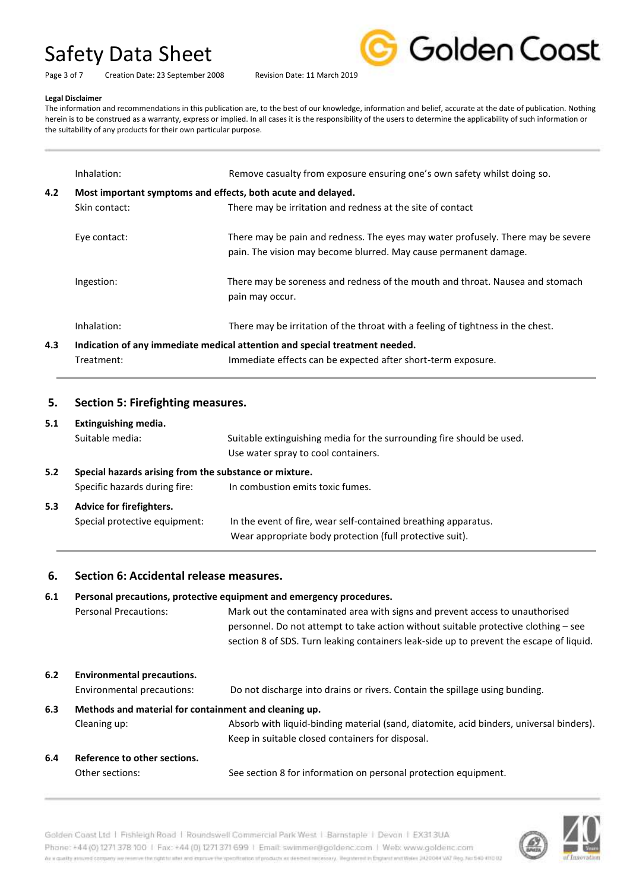Page 3 of 7 Creation Date: 23 September 2008 Revision Date: 11 March 2019



### **Legal Disclaimer**

The information and recommendations in this publication are, to the best of our knowledge, information and belief, accurate at the date of publication. Nothing herein is to be construed as a warranty, express or implied. In all cases it is the responsibility of the users to determine the applicability of such information or the suitability of any products for their own particular purpose.

|     | Inhalation:                                                  | Remove casualty from exposure ensuring one's own safety whilst doing so.                                                                             |  |  |
|-----|--------------------------------------------------------------|------------------------------------------------------------------------------------------------------------------------------------------------------|--|--|
| 4.2 | Most important symptoms and effects, both acute and delayed. |                                                                                                                                                      |  |  |
|     | Skin contact:                                                | There may be irritation and redness at the site of contact                                                                                           |  |  |
|     | Eye contact:                                                 | There may be pain and redness. The eyes may water profusely. There may be severe<br>pain. The vision may become blurred. May cause permanent damage. |  |  |
|     | Ingestion:                                                   | There may be soreness and redness of the mouth and throat. Nausea and stomach<br>pain may occur.                                                     |  |  |
|     | Inhalation:                                                  | There may be irritation of the throat with a feeling of tightness in the chest.                                                                      |  |  |
| 4.3 |                                                              | Indication of any immediate medical attention and special treatment needed.                                                                          |  |  |
|     | Treatment:                                                   | Immediate effects can be expected after short-term exposure.                                                                                         |  |  |

### **5. Section 5: Firefighting measures.**

### **5.1 Extinguishing media.**

Suitable media: Suitable extinguishing media for the surrounding fire should be used. Use water spray to cool containers. **5.2 Special hazards arising from the substance or mixture.** Specific hazards during fire: In combustion emits toxic fumes. **5.3 Advice for firefighters.** Special protective equipment: In the event of fire, wear self-contained breathing apparatus. Wear appropriate body protection (full protective suit).

### **6. Section 6: Accidental release measures.**

### **6.1 Personal precautions, protective equipment and emergency procedures.**

Personal Precautions: Mark out the contaminated area with signs and prevent access to unauthorised personnel. Do not attempt to take action without suitable protective clothing – see section 8 of SDS. Turn leaking containers leak-side up to prevent the escape of liquid.

- **6.2 Environmental precautions.** Environmental precautions: Do not discharge into drains or rivers. Contain the spillage using bunding. **6.3 Methods and material for containment and cleaning up.** Cleaning up: Absorb with liquid-binding material (sand, diatomite, acid binders, universal binders). Keep in suitable closed containers for disposal. **6.4 Reference to other sections.**
- Other sections: See section 8 for information on personal protection equipment.

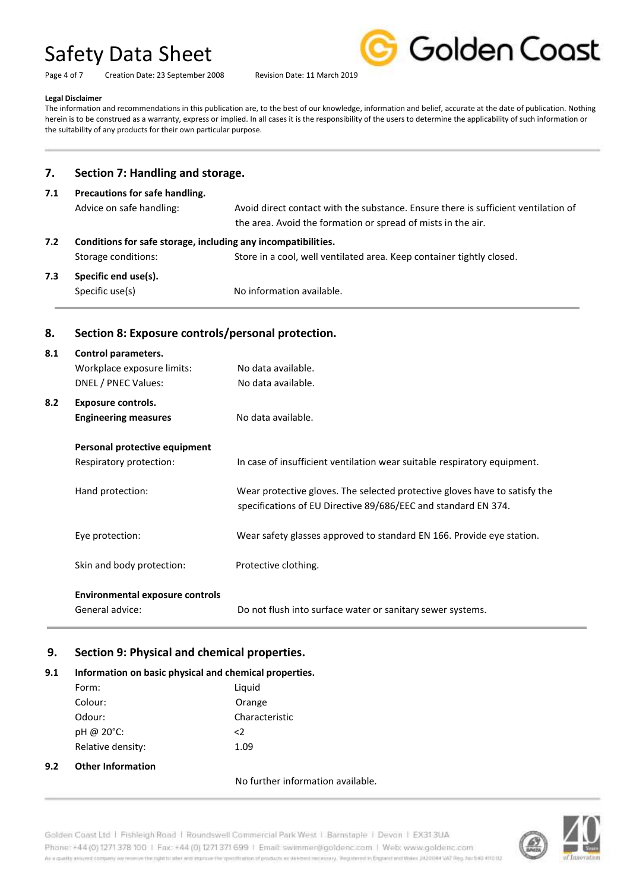Golden Coast

Page 4 of 7 Creation Date: 23 September 2008 Revision Date: 11 March 2019

### **Legal Disclaimer**

The information and recommendations in this publication are, to the best of our knowledge, information and belief, accurate at the date of publication. Nothing herein is to be construed as a warranty, express or implied. In all cases it is the responsibility of the users to determine the applicability of such information or the suitability of any products for their own particular purpose.

### **7. Section 7: Handling and storage.**

| 7.1                                                                  | Precautions for safe handling. |                                                                                                                                                    |  |  |
|----------------------------------------------------------------------|--------------------------------|----------------------------------------------------------------------------------------------------------------------------------------------------|--|--|
|                                                                      | Advice on safe handling:       | Avoid direct contact with the substance. Ensure there is sufficient ventilation of<br>the area. Avoid the formation or spread of mists in the air. |  |  |
| Conditions for safe storage, including any incompatibilities.<br>7.2 |                                |                                                                                                                                                    |  |  |
|                                                                      | Storage conditions:            | Store in a cool, well ventilated area. Keep container tightly closed.                                                                              |  |  |
| Specific end use(s).<br>7.3<br>Specific use(s)                       |                                | No information available.                                                                                                                          |  |  |

### **8. Section 8: Exposure controls/personal protection.**

| 8.1 | Control parameters.                    |                                                                                                                                              |
|-----|----------------------------------------|----------------------------------------------------------------------------------------------------------------------------------------------|
|     | Workplace exposure limits:             | No data available.                                                                                                                           |
|     | <b>DNEL / PNEC Values:</b>             | No data available.                                                                                                                           |
| 8.2 | <b>Exposure controls.</b>              |                                                                                                                                              |
|     | <b>Engineering measures</b>            | No data available.                                                                                                                           |
|     | Personal protective equipment          |                                                                                                                                              |
|     | Respiratory protection:                | In case of insufficient ventilation wear suitable respiratory equipment.                                                                     |
|     | Hand protection:                       | Wear protective gloves. The selected protective gloves have to satisfy the<br>specifications of EU Directive 89/686/EEC and standard EN 374. |
|     | Eye protection:                        | Wear safety glasses approved to standard EN 166. Provide eye station.                                                                        |
|     | Skin and body protection:              | Protective clothing.                                                                                                                         |
|     | <b>Environmental exposure controls</b> |                                                                                                                                              |

General advice: Do not flush into surface water or sanitary sewer systems.

## **9. Section 9: Physical and chemical properties.**

## **9.1 Information on basic physical and chemical properties.**

|     | Form:                    | Liquid         |
|-----|--------------------------|----------------|
|     | Colour:                  | Orange         |
|     | Odour:                   | Characteristic |
|     | pH @ 20°C:               | $\langle$      |
|     | Relative density:        | 1.09           |
| 9.2 | <b>Other Information</b> |                |
|     |                          |                |

### No further information available.

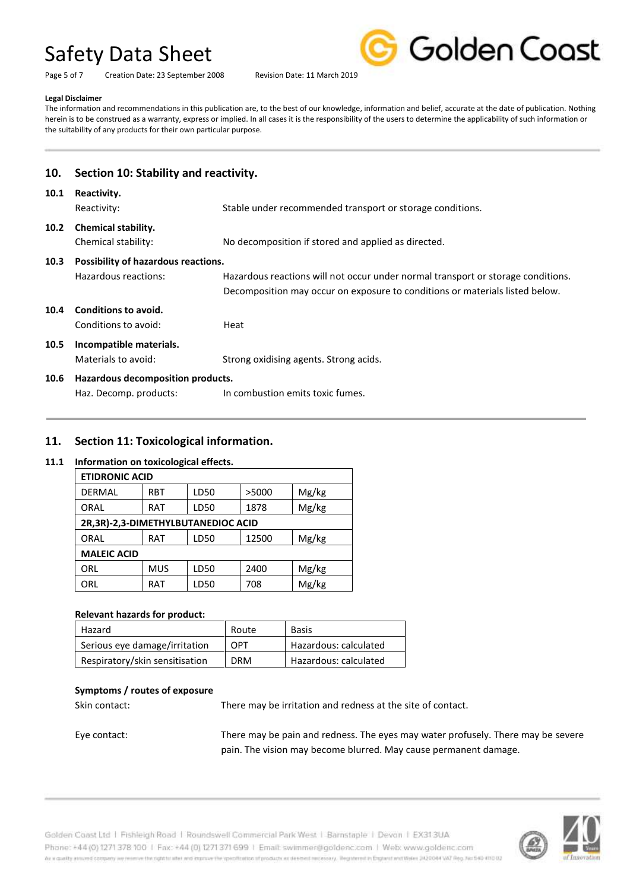Page 5 of 7 Creation Date: 23 September 2008 Revision Date: 11 March 2019



### **Legal Disclaimer**

The information and recommendations in this publication are, to the best of our knowledge, information and belief, accurate at the date of publication. Nothing herein is to be construed as a warranty, express or implied. In all cases it is the responsibility of the users to determine the applicability of such information or the suitability of any products for their own particular purpose.

| 10.               | Section 10: Stability and reactivity.                                                   |                                                                                                                                                                  |  |  |  |
|-------------------|-----------------------------------------------------------------------------------------|------------------------------------------------------------------------------------------------------------------------------------------------------------------|--|--|--|
| 10.1              | Reactivity.<br>Stable under recommended transport or storage conditions.<br>Reactivity: |                                                                                                                                                                  |  |  |  |
| 10.2 <sub>1</sub> | Chemical stability.<br>Chemical stability:                                              | No decomposition if stored and applied as directed.                                                                                                              |  |  |  |
| 10.3              | Possibility of hazardous reactions.                                                     |                                                                                                                                                                  |  |  |  |
|                   | Hazardous reactions:                                                                    | Hazardous reactions will not occur under normal transport or storage conditions.<br>Decomposition may occur on exposure to conditions or materials listed below. |  |  |  |
| 10.4              | Conditions to avoid.                                                                    |                                                                                                                                                                  |  |  |  |
|                   | Conditions to avoid:                                                                    | Heat                                                                                                                                                             |  |  |  |
| 10.5              | Incompatible materials.                                                                 |                                                                                                                                                                  |  |  |  |
|                   | Materials to avoid:                                                                     | Strong oxidising agents. Strong acids.                                                                                                                           |  |  |  |
| 10.6              | Hazardous decomposition products.                                                       |                                                                                                                                                                  |  |  |  |
|                   | In combustion emits toxic fumes.<br>Haz. Decomp. products:                              |                                                                                                                                                                  |  |  |  |

## **11. Section 11: Toxicological information.**

### **11.1 Information on toxicological effects.**

| <b>ETIDRONIC ACID</b>              |            |      |       |       |  |
|------------------------------------|------------|------|-------|-------|--|
| <b>DERMAL</b>                      | <b>RBT</b> | LD50 | >5000 | Mg/kg |  |
| ORAL                               | RAT        | LD50 | 1878  | Mg/kg |  |
| 2R,3R)-2,3-DIMETHYLBUTANEDIOC ACID |            |      |       |       |  |
| ORAL                               | <b>RAT</b> | LD50 | 12500 | Mg/kg |  |
| <b>MALEIC ACID</b>                 |            |      |       |       |  |
| ORL                                | <b>MUS</b> | LD50 | 2400  | Mg/kg |  |
| ORL                                | RAT        | LD50 | 708   | Mg/kg |  |

### **Relevant hazards for product:**

| Hazard                         | Route      | <b>Basis</b>          |
|--------------------------------|------------|-----------------------|
| Serious eye damage/irritation  | OPT        | Hazardous: calculated |
| Respiratory/skin sensitisation | <b>DRM</b> | Hazardous: calculated |

### **Symptoms / routes of exposure**

Skin contact: There may be irritation and redness at the site of contact.

Eye contact: There may be pain and redness. The eyes may water profusely. There may be severe pain. The vision may become blurred. May cause permanent damage.

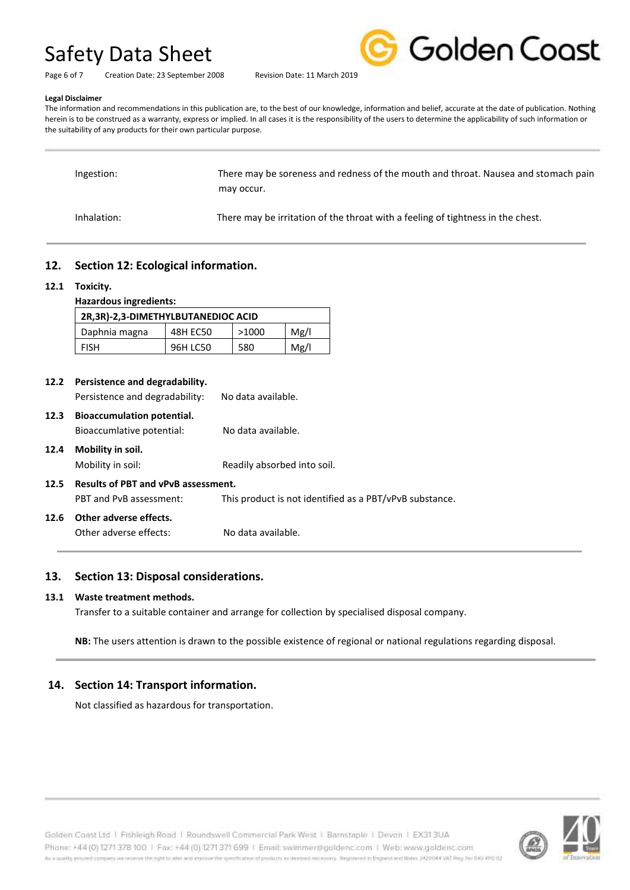

Page 6 of 7 Creation Date: 23 September 2008 Revision Date: 11 March 2019

### **Legal Disclaimer**

The information and recommendations in this publication are, to the best of our knowledge, information and belief, accurate at the date of publication. Nothing herein is to be construed as a warranty, express or implied. In all cases it is the responsibility of the users to determine the applicability of such information or the suitability of any products for their own particular purpose.

| Ingestion:  | There may be soreness and redness of the mouth and throat. Nausea and stomach pain<br>may occur. |
|-------------|--------------------------------------------------------------------------------------------------|
| Inhalation: | There may be irritation of the throat with a feeling of tightness in the chest.                  |

## **12. Section 12: Ecological information.**

### **12.1 Toxicity.**

| <b>Hazardous ingredients:</b>      |          |       |      |  |  |  |
|------------------------------------|----------|-------|------|--|--|--|
| 2R,3R)-2,3-DIMETHYLBUTANEDIOC ACID |          |       |      |  |  |  |
| Daphnia magna                      | 48H EC50 | >1000 | Mg/l |  |  |  |
| <b>FISH</b>                        | 96H LC50 | 580   | Mg/l |  |  |  |

| 12.2 | Persistence and degradability.    |                    |  |
|------|-----------------------------------|--------------------|--|
|      | Persistence and degradability:    | No data available. |  |
| 12.3 | <b>Bioaccumulation potential.</b> |                    |  |
|      | Bioaccumlative potential:         | No data available. |  |
| 12.4 | Mobility in soil.                 |                    |  |

Mobility in soil: Readily absorbed into soil.

**12.5 Results of PBT and vPvB assessment.** PBT and PvB assessment: This product is not identified as a PBT/vPvB substance.

## **12.6 Other adverse effects.**

Other adverse effects: No data available.

## **13. Section 13: Disposal considerations.**

### **13.1 Waste treatment methods.**

Transfer to a suitable container and arrange for collection by specialised disposal company.

**NB:** The users attention is drawn to the possible existence of regional or national regulations regarding disposal.

## **14. Section 14: Transport information.**

Not classified as hazardous for transportation.